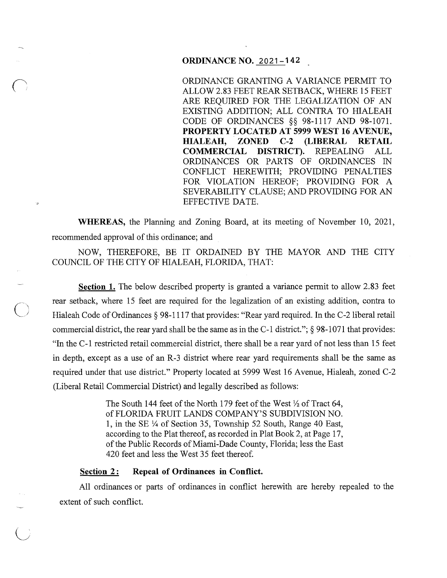## ORDINANCE NO. 2021-142

ORDINANCE GRANTING A VARIANCE PERMIT TO ALLOW 2.83 FEET REAR SETBACK, WHERE 15 FEET ARE REQUIRED FOR THE LEGALIZATION OF AN EXISTING ADDITION; ALL CONTRA TO HIALEAH CODE OF ORDINANCES §§ 98-1117 AND 98-1071. PROPERTY LOCATED AT 5999 WEST 16 AVENUE, HIALEAH, ZONED C-2 (LIBERAL RETAIL COMMERCIAL DISTRICT). REPEALING ALL ORDINANCES OR PARTS OF ORDINANCES IN CONFLICT HEREWITH; PROVIDING PENALTIES FOR VIOLATION HEREOF; PROVIDING FOR A SEVERABILITY CLAUSE; AND PROVIDING FOR AN EFFECTIVE DATE.

WHEREAS, the Planning and Zoning Board, at its meeting of November 10, 2021, recommended approval of this ordinance; and

NOW, THEREFORE, BE IT ORDAINED BY THE MAYOR AND THE CITY COUNCIL OF THE CITY OF HIALEAH, FLORIDA, THAT:

Section 1. The below described property is granted a variance permit to allow 2.83 feet rear setback, where 15 feet are required for the legalization of an existing addition, contra to Hialeah Code of Ordinances § 98-1117 that provides: "Rear yard required. In the C-2 liberal retail commercial district, the rear yard shall be the same as in the C-1 district."; § 98-1071 that provides: "In the C-1 restricted retail commercial district, there shall be a rear yard of not less than 15 feet in depth, except as a use of an R-3 district where rear yard requirements shall be the same as required under that use district." Property located at 5999 West 16 Avenue, Hialeah, zoned C-2 (Liberal Retail Commercial District) and legally described as follows:

> The South 144 feet of the North 179 feet of the West  $\frac{1}{2}$  of Tract 64, of FLORIDA FRUIT LANDS COMPANY'S SUBDIVISION NO. 1, in the SE Y4 of Section 35, Township 52 South, Range 40 East, according to the Plat thereof, as recorded in Plat Book 2, at Page 17, of the Public Records of Miami-Dade County, Florida; less the East 420 feet and less the West 35 feet thereof.

# Section 2: Repeal of Ordinances in Conflict.

All ordinances or parts of ordinances in conflict herewith are hereby repealed to the extent of such conflict.